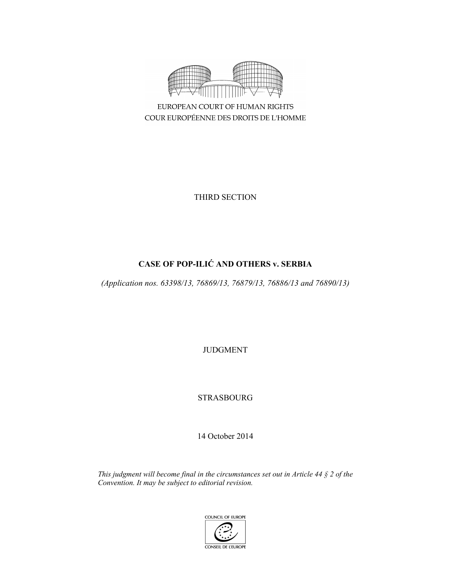

COUR EUROPÉENNE DES DROITS DE L'HOMME

THIRD SECTION

# **CASE OF POP-ILIĆ AND OTHERS v. SERBIA**

*(Application nos. 63398/13, 76869/13, 76879/13, 76886/13 and 76890/13)* 

JUDGMENT

STRASBOURG

14 October 2014

*This judgment will become final in the circumstances set out in Article 44 § 2 of the Convention. It may be subject to editorial revision.*

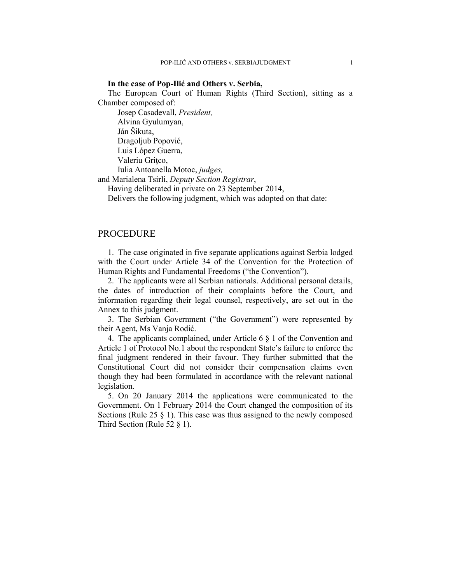#### **In the case of Pop-Ilić and Others v. Serbia,**

The European Court of Human Rights (Third Section), sitting as a Chamber composed of:

 Josep Casadevall, *President,*  Alvina Gyulumyan, Ján Šikuta, Dragoljub Popović, Luis López Guerra, Valeriu Gritco, Iulia Antoanella Motoc, *judges,*

and Marialena Tsirli, *Deputy Section Registrar*,

Having deliberated in private on 23 September 2014,

Delivers the following judgment, which was adopted on that date:

### PROCEDURE

1. The case originated in five separate applications against Serbia lodged with the Court under Article 34 of the Convention for the Protection of Human Rights and Fundamental Freedoms ("the Convention").

2. The applicants were all Serbian nationals. Additional personal details, the dates of introduction of their complaints before the Court, and information regarding their legal counsel, respectively, are set out in the Annex to this judgment.

3. The Serbian Government ("the Government") were represented by their Agent, Ms Vanja Rodić.

4. The applicants complained, under Article 6 § 1 of the Convention and Article 1 of Protocol No.1 about the respondent State's failure to enforce the final judgment rendered in their favour. They further submitted that the Constitutional Court did not consider their compensation claims even though they had been formulated in accordance with the relevant national legislation.

5. On 20 January 2014 the applications were communicated to the Government. On 1 February 2014 the Court changed the composition of its Sections (Rule 25 § 1). This case was thus assigned to the newly composed Third Section (Rule 52 § 1).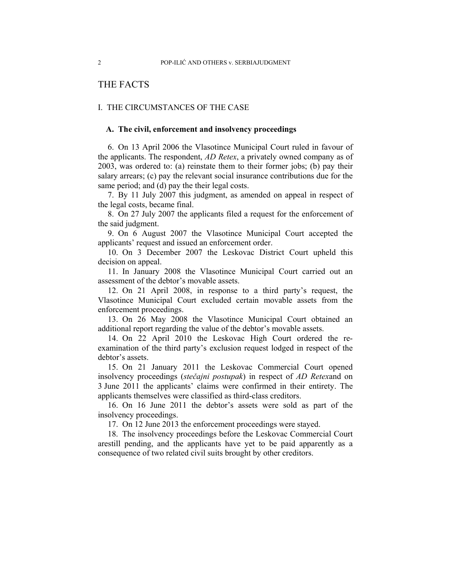# THE FACTS

### I. THE CIRCUMSTANCES OF THE CASE

## **A. The civil, enforcement and insolvency proceedings**

6. On 13 April 2006 the Vlasotince Municipal Court ruled in favour of the applicants. The respondent, *AD Retex*, a privately owned company as of 2003, was ordered to: (a) reinstate them to their former jobs; (b) pay their salary arrears; (c) pay the relevant social insurance contributions due for the same period; and (d) pay the their legal costs.

7. By 11 July 2007 this judgment, as amended on appeal in respect of the legal costs, became final.

8. On 27 July 2007 the applicants filed a request for the enforcement of the said judgment.

9. On 6 August 2007 the Vlasotince Municipal Court accepted the applicants' request and issued an enforcement order.

10. On 3 December 2007 the Leskovac District Court upheld this decision on appeal.

11. In January 2008 the Vlasotince Municipal Court carried out an assessment of the debtor's movable assets.

12. On 21 April 2008, in response to a third party's request, the Vlasotince Municipal Court excluded certain movable assets from the enforcement proceedings.

13. On 26 May 2008 the Vlasotince Municipal Court obtained an additional report regarding the value of the debtor's movable assets.

14. On 22 April 2010 the Leskovac High Court ordered the reexamination of the third party's exclusion request lodged in respect of the debtor's assets.

15. On 21 January 2011 the Leskovac Commercial Court opened insolvency proceedings (*stečajni postupak*) in respect of *AD Retex*and on 3 June 2011 the applicants' claims were confirmed in their entirety. The applicants themselves were classified as third-class creditors.

16. On 16 June 2011 the debtor's assets were sold as part of the insolvency proceedings.

17. On 12 June 2013 the enforcement proceedings were stayed.

18. The insolvency proceedings before the Leskovac Commercial Court arestill pending, and the applicants have yet to be paid apparently as a consequence of two related civil suits brought by other creditors.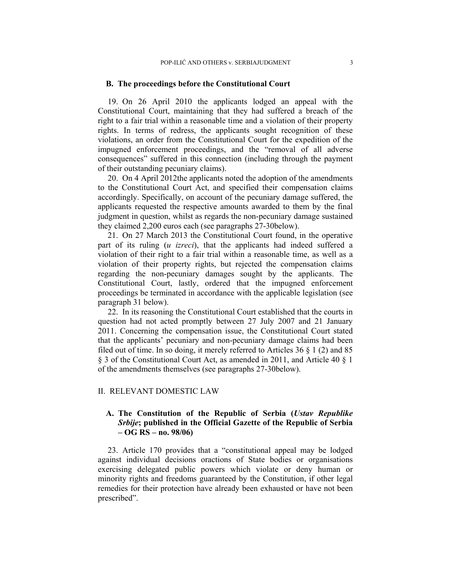### **B. The proceedings before the Constitutional Court**

19. On 26 April 2010 the applicants lodged an appeal with the Constitutional Court, maintaining that they had suffered a breach of the right to a fair trial within a reasonable time and a violation of their property rights. In terms of redress, the applicants sought recognition of these violations, an order from the Constitutional Court for the expedition of the impugned enforcement proceedings, and the "removal of all adverse consequences" suffered in this connection (including through the payment of their outstanding pecuniary claims).

20. On 4 April 2012the applicants noted the adoption of the amendments to the Constitutional Court Act, and specified their compensation claims accordingly. Specifically, on account of the pecuniary damage suffered, the applicants requested the respective amounts awarded to them by the final judgment in question, whilst as regards the non-pecuniary damage sustained they claimed 2,200 euros each (see paragraphs 27-30below).

21. On 27 March 2013 the Constitutional Court found, in the operative part of its ruling (*u izreci*), that the applicants had indeed suffered a violation of their right to a fair trial within a reasonable time, as well as a violation of their property rights, but rejected the compensation claims regarding the non-pecuniary damages sought by the applicants. The Constitutional Court, lastly, ordered that the impugned enforcement proceedings be terminated in accordance with the applicable legislation (see paragraph 31 below).

22. In its reasoning the Constitutional Court established that the courts in question had not acted promptly between 27 July 2007 and 21 January 2011. Concerning the compensation issue, the Constitutional Court stated that the applicants' pecuniary and non-pecuniary damage claims had been filed out of time. In so doing, it merely referred to Articles  $36 \S 1$  (2) and  $85$ § 3 of the Constitutional Court Act, as amended in 2011, and Article 40 § 1 of the amendments themselves (see paragraphs 27-30below).

#### II. RELEVANT DOMESTIC LAW

# **A. The Constitution of the Republic of Serbia (***Ustav Republike Srbije***; published in the Official Gazette of the Republic of Serbia – OG RS – no. 98/06)**

23. Article 170 provides that a "constitutional appeal may be lodged against individual decisions oractions of State bodies or organisations exercising delegated public powers which violate or deny human or minority rights and freedoms guaranteed by the Constitution, if other legal remedies for their protection have already been exhausted or have not been prescribed".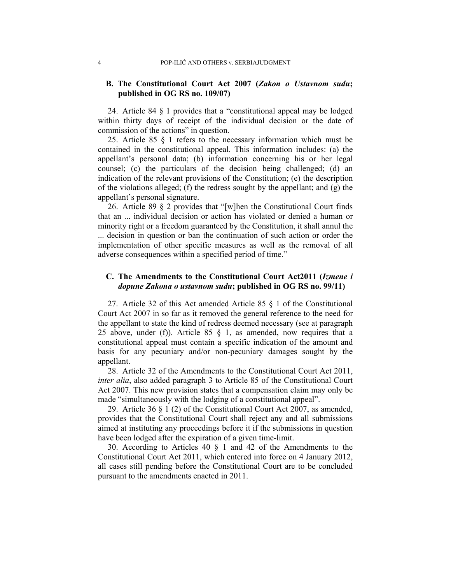# **B. The Constitutional Court Act 2007 (***Zakon o Ustavnom sudu***; published in OG RS no. 109/07)**

24. Article 84 § 1 provides that a "constitutional appeal may be lodged within thirty days of receipt of the individual decision or the date of commission of the actions" in question.

25. Article 85 § 1 refers to the necessary information which must be contained in the constitutional appeal. This information includes: (a) the appellant's personal data; (b) information concerning his or her legal counsel; (c) the particulars of the decision being challenged; (d) an indication of the relevant provisions of the Constitution; (e) the description of the violations alleged; (f) the redress sought by the appellant; and (g) the appellant's personal signature.

26. Article 89 § 2 provides that "[w]hen the Constitutional Court finds that an ... individual decision or action has violated or denied a human or minority right or a freedom guaranteed by the Constitution, it shall annul the ... decision in question or ban the continuation of such action or order the implementation of other specific measures as well as the removal of all adverse consequences within a specified period of time."

## **C. The Amendments to the Constitutional Court Act2011 (***Izmene i dopune Zakona o ustavnom sudu***; published in OG RS no. 99/11)**

27. Article 32 of this Act amended Article 85 § 1 of the Constitutional Court Act 2007 in so far as it removed the general reference to the need for the appellant to state the kind of redress deemed necessary (see at paragraph 25 above, under (f)). Article 85  $\S$  1, as amended, now requires that a constitutional appeal must contain a specific indication of the amount and basis for any pecuniary and/or non-pecuniary damages sought by the appellant.

28. Article 32 of the Amendments to the Constitutional Court Act 2011, *inter alia*, also added paragraph 3 to Article 85 of the Constitutional Court Act 2007. This new provision states that a compensation claim may only be made "simultaneously with the lodging of a constitutional appeal".

29. Article 36 § 1 (2) of the Constitutional Court Act 2007, as amended, provides that the Constitutional Court shall reject any and all submissions aimed at instituting any proceedings before it if the submissions in question have been lodged after the expiration of a given time-limit.

30. According to Articles 40 § 1 and 42 of the Amendments to the Constitutional Court Act 2011, which entered into force on 4 January 2012, all cases still pending before the Constitutional Court are to be concluded pursuant to the amendments enacted in 2011.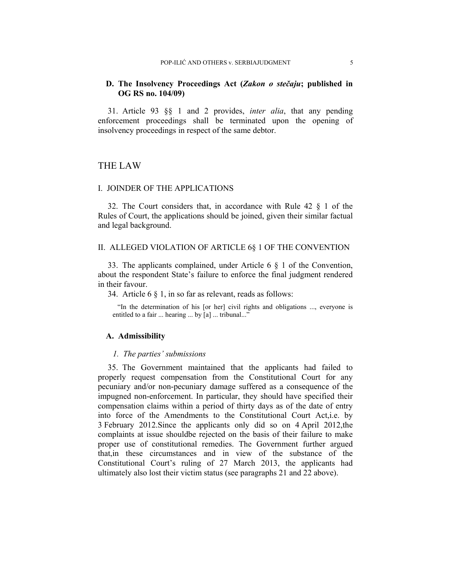### **D. The Insolvency Proceedings Act (***Zakon o stečaju***; published in OG RS no. 104/09)**

31. Article 93 §§ 1 and 2 provides, *inter alia*, that any pending enforcement proceedings shall be terminated upon the opening of insolvency proceedings in respect of the same debtor.

# THE LAW

#### I. JOINDER OF THE APPLICATIONS

32. The Court considers that, in accordance with Rule 42 § 1 of the Rules of Court, the applications should be joined, given their similar factual and legal background.

# II. ALLEGED VIOLATION OF ARTICLE 6§ 1 OF THE CONVENTION

33. The applicants complained, under Article 6 § 1 of the Convention, about the respondent State's failure to enforce the final judgment rendered in their favour.

34. Article 6 § 1, in so far as relevant, reads as follows:

"In the determination of his [or her] civil rights and obligations ..., everyone is entitled to a fair ... hearing ... by [a] ... tribunal..."

### **A. Admissibility**

#### *1. The parties' submissions*

35. The Government maintained that the applicants had failed to properly request compensation from the Constitutional Court for any pecuniary and/or non-pecuniary damage suffered as a consequence of the impugned non-enforcement. In particular, they should have specified their compensation claims within a period of thirty days as of the date of entry into force of the Amendments to the Constitutional Court Act,i.e. by 3 February 2012.Since the applicants only did so on 4 April 2012,the complaints at issue shouldbe rejected on the basis of their failure to make proper use of constitutional remedies. The Government further argued that,in these circumstances and in view of the substance of the Constitutional Court's ruling of 27 March 2013, the applicants had ultimately also lost their victim status (see paragraphs 21 and 22 above).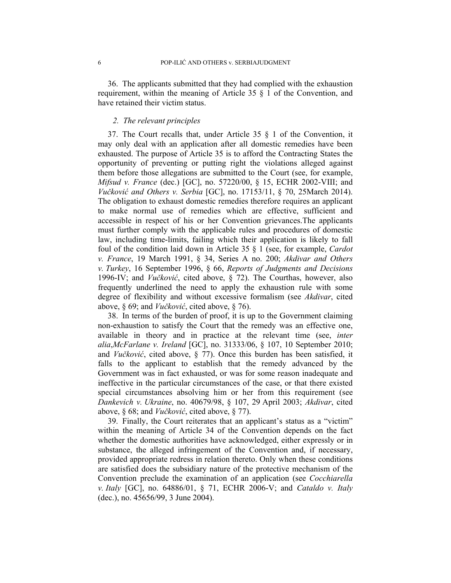36. The applicants submitted that they had complied with the exhaustion requirement, within the meaning of Article 35 § 1 of the Convention, and have retained their victim status.

# *2. The relevant principles*

37. The Court recalls that, under Article 35 § 1 of the Convention, it may only deal with an application after all domestic remedies have been exhausted. The purpose of Article 35 is to afford the Contracting States the opportunity of preventing or putting right the violations alleged against them before those allegations are submitted to the Court (see, for example, *Mifsud v. France* (dec.) [GC], no. 57220/00, § 15, ECHR 2002-VIII; and *Vučković and Others v. Serbia* [GC], no. 17153/11, § 70, 25March 2014). The obligation to exhaust domestic remedies therefore requires an applicant to make normal use of remedies which are effective, sufficient and accessible in respect of his or her Convention grievances.The applicants must further comply with the applicable rules and procedures of domestic law, including time-limits, failing which their application is likely to fall foul of the condition laid down in Article 35 § 1 (see, for example, *Cardot v. France*, 19 March 1991, § 34, Series A no. 200; *Akdivar and Others v. Turkey*, 16 September 1996, § 66, *Reports of Judgments and Decisions* 1996-IV; and *Vučković*, cited above, § 72). The Courthas, however, also frequently underlined the need to apply the exhaustion rule with some degree of flexibility and without excessive formalism (see *Akdivar*, cited above, § 69; and *Vučković*, cited above, § 76).

38. In terms of the burden of proof, it is up to the Government claiming non-exhaustion to satisfy the Court that the remedy was an effective one, available in theory and in practice at the relevant time (see, *inter alia*,*McFarlane v. Ireland* [GC], no. 31333/06, § 107, 10 September 2010; and *Vučković*, cited above, § 77). Once this burden has been satisfied, it falls to the applicant to establish that the remedy advanced by the Government was in fact exhausted, or was for some reason inadequate and ineffective in the particular circumstances of the case, or that there existed special circumstances absolving him or her from this requirement (see *Dankevich v. Ukraine*, no. 40679/98, § 107, 29 April 2003; *Akdivar*, cited above, § 68; and *Vučković*, cited above, § 77).

39. Finally, the Court reiterates that an applicant's status as a "victim" within the meaning of Article 34 of the Convention depends on the fact whether the domestic authorities have acknowledged, either expressly or in substance, the alleged infringement of the Convention and, if necessary, provided appropriate redress in relation thereto. Only when these conditions are satisfied does the subsidiary nature of the protective mechanism of the Convention preclude the examination of an application (see *Cocchiarella v. Italy* [GC], no. 64886/01, § 71, ECHR 2006-V; and *Cataldo v. Italy* (dec.), no. 45656/99, 3 June 2004).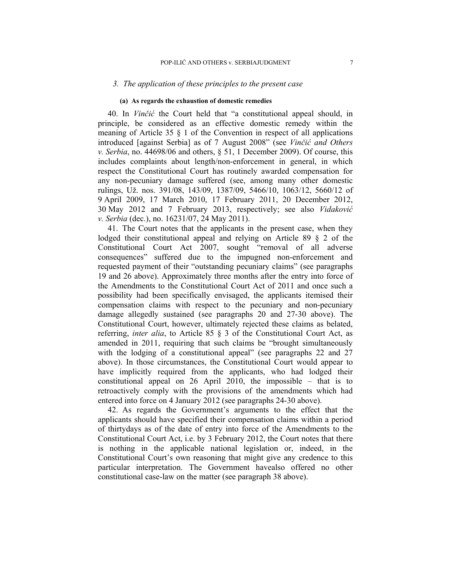### *3. The application of these principles to the present case*

### **(a) As regards the exhaustion of domestic remedies**

40. In *Vinčić* the Court held that "a constitutional appeal should, in principle, be considered as an effective domestic remedy within the meaning of Article 35 § 1 of the Convention in respect of all applications introduced [against Serbia] as of 7 August 2008" (see *Vinčić and Others v. Serbia*, no. 44698/06 and others, § 51, 1 December 2009). Of course, this includes complaints about length/non-enforcement in general, in which respect the Constitutional Court has routinely awarded compensation for any non-pecuniary damage suffered (see, among many other domestic rulings, Už. nos. 391/08, 143/09, 1387/09, 5466/10, 1063/12, 5660/12 of 9 April 2009, 17 March 2010, 17 February 2011, 20 December 2012, 30 May 2012 and 7 February 2013, respectively; see also *Vidaković v. Serbia* (dec.), no. 16231/07, 24 May 2011).

41. The Court notes that the applicants in the present case, when they lodged their constitutional appeal and relying on Article 89 § 2 of the Constitutional Court Act 2007, sought "removal of all adverse consequences" suffered due to the impugned non-enforcement and requested payment of their "outstanding pecuniary claims" (see paragraphs 19 and 26 above). Approximately three months after the entry into force of the Amendments to the Constitutional Court Act of 2011 and once such a possibility had been specifically envisaged, the applicants itemised their compensation claims with respect to the pecuniary and non-pecuniary damage allegedly sustained (see paragraphs 20 and 27-30 above). The Constitutional Court, however, ultimately rejected these claims as belated, referring, *inter alia*, to Article 85 § 3 of the Constitutional Court Act, as amended in 2011, requiring that such claims be "brought simultaneously with the lodging of a constitutional appeal" (see paragraphs 22 and 27 above). In those circumstances, the Constitutional Court would appear to have implicitly required from the applicants, who had lodged their constitutional appeal on 26 April 2010, the impossible – that is to retroactively comply with the provisions of the amendments which had entered into force on 4 January 2012 (see paragraphs 24-30 above).

42. As regards the Government's arguments to the effect that the applicants should have specified their compensation claims within a period of thirtydays as of the date of entry into force of the Amendments to the Constitutional Court Act, i.e. by 3 February 2012, the Court notes that there is nothing in the applicable national legislation or, indeed, in the Constitutional Court's own reasoning that might give any credence to this particular interpretation. The Government havealso offered no other constitutional case-law on the matter (see paragraph 38 above).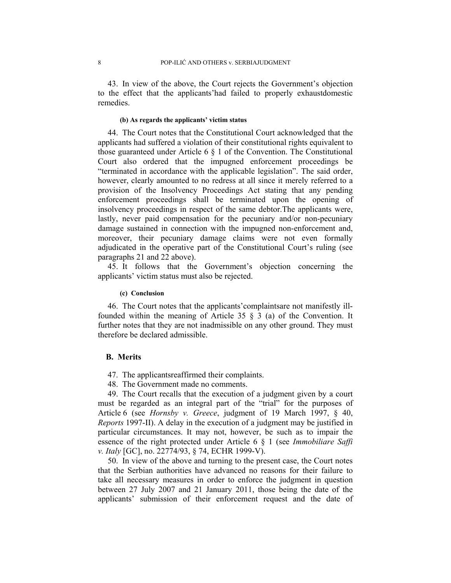43. In view of the above, the Court rejects the Government's objection to the effect that the applicants'had failed to properly exhaustdomestic remedies.

### **(b) As regards the applicants' victim status**

44. The Court notes that the Constitutional Court acknowledged that the applicants had suffered a violation of their constitutional rights equivalent to those guaranteed under Article  $6 \nless 1$  of the Convention. The Constitutional Court also ordered that the impugned enforcement proceedings be "terminated in accordance with the applicable legislation". The said order, however, clearly amounted to no redress at all since it merely referred to a provision of the Insolvency Proceedings Act stating that any pending enforcement proceedings shall be terminated upon the opening of insolvency proceedings in respect of the same debtor.The applicants were, lastly, never paid compensation for the pecuniary and/or non-pecuniary damage sustained in connection with the impugned non-enforcement and, moreover, their pecuniary damage claims were not even formally adjudicated in the operative part of the Constitutional Court's ruling (see paragraphs 21 and 22 above).

45. It follows that the Government's objection concerning the applicants' victim status must also be rejected.

#### **(c) Conclusion**

46. The Court notes that the applicants'complaintsare not manifestly illfounded within the meaning of Article 35 § 3 (a) of the Convention. It further notes that they are not inadmissible on any other ground. They must therefore be declared admissible.

### **B. Merits**

- 47. The applicantsreaffirmed their complaints.
- 48. The Government made no comments.

49. The Court recalls that the execution of a judgment given by a court must be regarded as an integral part of the "trial" for the purposes of Article 6 (see *Hornsby v. Greece*, judgment of 19 March 1997, § 40, *Reports* 1997-II). A delay in the execution of a judgment may be justified in particular circumstances. It may not, however, be such as to impair the essence of the right protected under Article 6 § 1 (see *Immobiliare Saffi v. Italy* [GC], no. 22774/93, § 74, ECHR 1999-V).

50. In view of the above and turning to the present case, the Court notes that the Serbian authorities have advanced no reasons for their failure to take all necessary measures in order to enforce the judgment in question between 27 July 2007 and 21 January 2011, those being the date of the applicants' submission of their enforcement request and the date of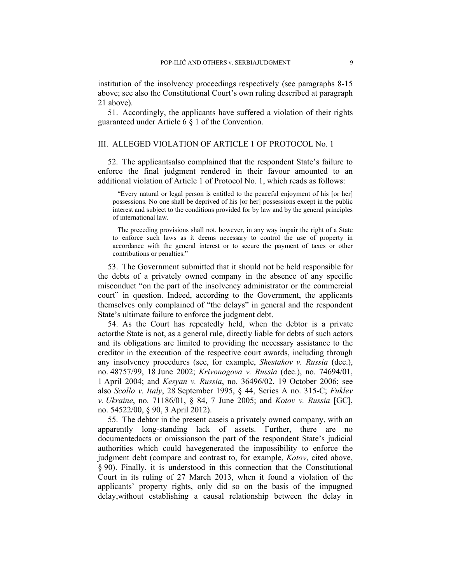institution of the insolvency proceedings respectively (see paragraphs 8-15 above; see also the Constitutional Court's own ruling described at paragraph 21 above).

51. Accordingly, the applicants have suffered a violation of their rights guaranteed under Article 6 § 1 of the Convention.

### III. ALLEGED VIOLATION OF ARTICLE 1 OF PROTOCOL No. 1

52. The applicantsalso complained that the respondent State's failure to enforce the final judgment rendered in their favour amounted to an additional violation of Article 1 of Protocol No. 1, which reads as follows:

"Every natural or legal person is entitled to the peaceful enjoyment of his [or her] possessions. No one shall be deprived of his [or her] possessions except in the public interest and subject to the conditions provided for by law and by the general principles of international law.

The preceding provisions shall not, however, in any way impair the right of a State to enforce such laws as it deems necessary to control the use of property in accordance with the general interest or to secure the payment of taxes or other contributions or penalties."

53. The Government submitted that it should not be held responsible for the debts of a privately owned company in the absence of any specific misconduct "on the part of the insolvency administrator or the commercial court" in question. Indeed, according to the Government, the applicants themselves only complained of "the delays" in general and the respondent State's ultimate failure to enforce the judgment debt.

54. As the Court has repeatedly held, when the debtor is a private actorthe State is not, as a general rule, directly liable for debts of such actors and its obligations are limited to providing the necessary assistance to the creditor in the execution of the respective court awards, including through any insolvency procedures (see, for example, *Shestakov v. Russia* (dec.), no. 48757/99, 18 June 2002; *Krivonogova v. Russia* (dec.), no. 74694/01, 1 April 2004; and *Kesyan v. Russia*, no. 36496/02, 19 October 2006; see also *Scollo v. Italy*, 28 September 1995, § 44, Series A no. 315-C; *Fuklev v. Ukraine*, no. 71186/01, § 84, 7 June 2005; and *Kotov v. Russia* [GC], no. 54522/00, § 90, 3 April 2012).

55. The debtor in the present caseis a privately owned company, with an apparently long-standing lack of assets. Further, there are no documentedacts or omissionson the part of the respondent State's judicial authorities which could havegenerated the impossibility to enforce the judgment debt (compare and contrast to, for example, *Kotov*, cited above, § 90). Finally, it is understood in this connection that the Constitutional Court in its ruling of 27 March 2013, when it found a violation of the applicants' property rights, only did so on the basis of the impugned delay,without establishing a causal relationship between the delay in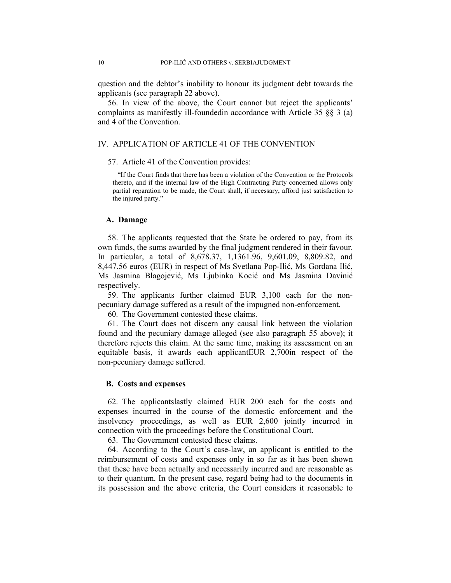question and the debtor's inability to honour its judgment debt towards the applicants (see paragraph 22 above).

56. In view of the above, the Court cannot but reject the applicants' complaints as manifestly ill-foundedin accordance with Article 35 §§ 3 (a) and 4 of the Convention.

### IV. APPLICATION OF ARTICLE 41 OF THE CONVENTION

### 57. Article 41 of the Convention provides:

"If the Court finds that there has been a violation of the Convention or the Protocols thereto, and if the internal law of the High Contracting Party concerned allows only partial reparation to be made, the Court shall, if necessary, afford just satisfaction to the injured party."

### **A. Damage**

58. The applicants requested that the State be ordered to pay, from its own funds, the sums awarded by the final judgment rendered in their favour. In particular, a total of 8,678.37, 1,1361.96, 9,601.09, 8,809.82, and 8,447.56 euros (EUR) in respect of Ms Svetlana Pop-Ilić, Ms Gordana Ilić, Ms Jasmina Blagojević, Ms Ljubinka Kocić and Ms Jasmina Davinić respectively.

59. The applicants further claimed EUR 3,100 each for the nonpecuniary damage suffered as a result of the impugned non-enforcement.

60. The Government contested these claims.

61. The Court does not discern any causal link between the violation found and the pecuniary damage alleged (see also paragraph 55 above); it therefore rejects this claim. At the same time, making its assessment on an equitable basis, it awards each applicantEUR 2,700in respect of the non-pecuniary damage suffered.

### **B. Costs and expenses**

62. The applicantslastly claimed EUR 200 each for the costs and expenses incurred in the course of the domestic enforcement and the insolvency proceedings, as well as EUR 2,600 jointly incurred in connection with the proceedings before the Constitutional Court.

63. The Government contested these claims.

64. According to the Court's case-law, an applicant is entitled to the reimbursement of costs and expenses only in so far as it has been shown that these have been actually and necessarily incurred and are reasonable as to their quantum. In the present case, regard being had to the documents in its possession and the above criteria, the Court considers it reasonable to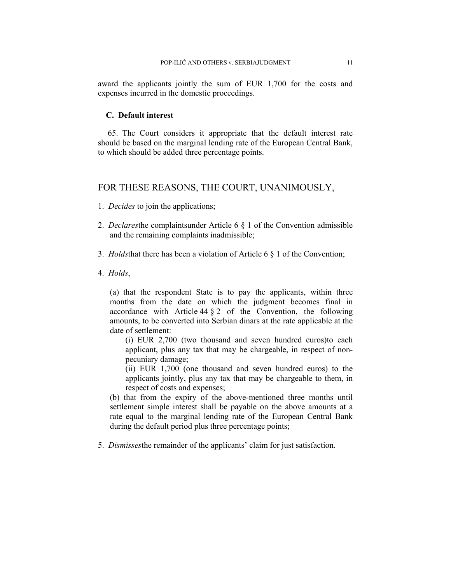award the applicants jointly the sum of EUR 1,700 for the costs and expenses incurred in the domestic proceedings.

### **C. Default interest**

65. The Court considers it appropriate that the default interest rate should be based on the marginal lending rate of the European Central Bank, to which should be added three percentage points.

# FOR THESE REASONS, THE COURT, UNANIMOUSLY,

- 1. *Decides* to join the applications;
- 2. *Declares*the complaintsunder Article 6 § 1 of the Convention admissible and the remaining complaints inadmissible;
- 3. *Holds*that there has been a violation of Article 6 § 1 of the Convention;
- 4. *Holds*,

(a) that the respondent State is to pay the applicants, within three months from the date on which the judgment becomes final in accordance with Article  $44 \tbinom{2}{3}$  of the Convention, the following amounts, to be converted into Serbian dinars at the rate applicable at the date of settlement:

(i) EUR 2,700 (two thousand and seven hundred euros)to each applicant, plus any tax that may be chargeable, in respect of nonpecuniary damage;

(ii) EUR 1,700 (one thousand and seven hundred euros) to the applicants jointly, plus any tax that may be chargeable to them, in respect of costs and expenses;

(b) that from the expiry of the above-mentioned three months until settlement simple interest shall be payable on the above amounts at a rate equal to the marginal lending rate of the European Central Bank during the default period plus three percentage points;

5. *Dismisses*the remainder of the applicants' claim for just satisfaction.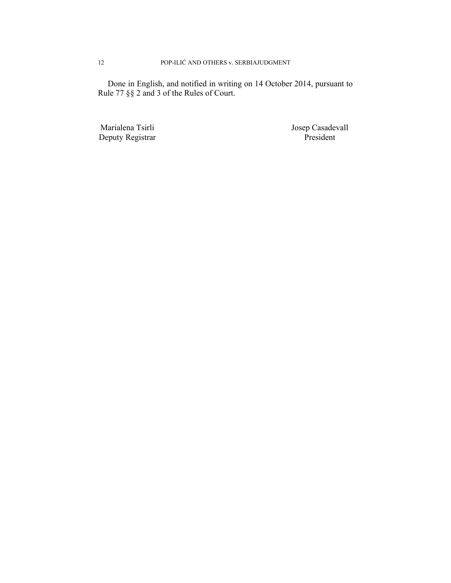Done in English, and notified in writing on 14 October 2014, pursuant to Rule 77 §§ 2 and 3 of the Rules of Court.

Deputy Registrar President

Marialena Tsirli Josep Casadevall